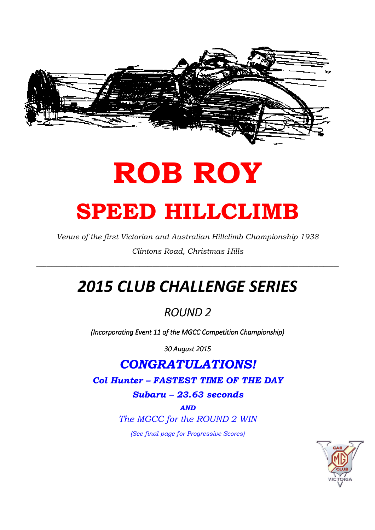

# ROB ROY SPEED HILLCLIMB

Venue of the first Victorian and Australian Hillclimb Championship 1938 Clintons Road, Christmas Hills

 $\_$  ,  $\_$  ,  $\_$  ,  $\_$  ,  $\_$  ,  $\_$  ,  $\_$  ,  $\_$  ,  $\_$  ,  $\_$  ,  $\_$  ,  $\_$  ,  $\_$  ,  $\_$  ,  $\_$  ,  $\_$  ,  $\_$  ,  $\_$  ,  $\_$  ,  $\_$  ,  $\_$  ,  $\_$  ,  $\_$  ,  $\_$  ,  $\_$  ,  $\_$  ,  $\_$  ,  $\_$  ,  $\_$  ,  $\_$  ,  $\_$  ,  $\_$  ,  $\_$  ,  $\_$  ,  $\_$  ,  $\_$  ,  $\_$  ,

## 2015 CLUB CHALLENGE SERIES

#### ROUND<sub>2</sub>

(Incorporating Event 11 of the MGCC Competition Championship)

30 August 2015

### CONGRATULATIONS!

Col Hunter – FASTEST TIME OF THE DAY

Subaru – 23.63 seconds

AND

The MGCC for the ROUND 2 WIN

(See final page for Progressive Scores)

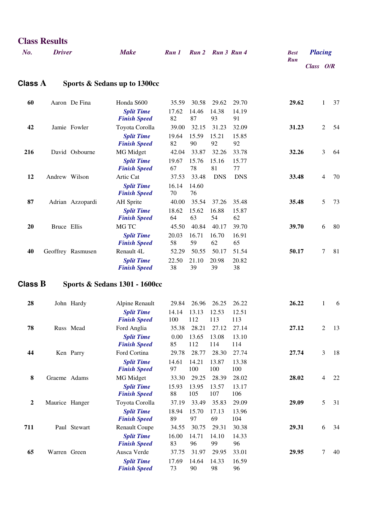| No.              | <b>Driver</b>  |                   | <b>Make</b>                                                      | Run 1                 |                       | Run 2 Run 3 Run 4     |                       | <b>Best</b> | <b>Placing</b> |                |    |
|------------------|----------------|-------------------|------------------------------------------------------------------|-----------------------|-----------------------|-----------------------|-----------------------|-------------|----------------|----------------|----|
|                  |                |                   |                                                                  |                       |                       |                       |                       | <b>Run</b>  | Class O/R      |                |    |
| <b>Class A</b>   |                |                   | Sports & Sedans up to 1300cc                                     |                       |                       |                       |                       |             |                |                |    |
| 60               |                | Aaron De Fina     | Honda S600<br><b>Split Time</b><br><b>Finish Speed</b>           | 35.59<br>17.62<br>82  | 30.58<br>14.46<br>87  | 29.62<br>14.38<br>93  | 29.70<br>14.19<br>91  | 29.62       |                | 1              | 37 |
| 42               |                | Jamie Fowler      | Toyota Corolla<br><b>Split Time</b><br><b>Finish Speed</b>       | 39.00<br>19.64<br>82  | 32.15<br>15.59<br>90  | 31.23<br>15.21<br>92  | 32.09<br>15.85<br>92  | 31.23       |                | $\overline{c}$ | 54 |
| 216              |                | David Osbourne    | <b>MG</b> Midget<br><b>Split Time</b><br><b>Finish Speed</b>     | 42.04<br>19.67<br>67  | 33.87<br>15.76<br>78  | 32.26<br>15.16<br>81  | 33.78<br>15.77<br>77  | 32.26       |                | 3              | 64 |
| 12               | Andrew Wilson  |                   | Artic Cat<br><b>Split Time</b><br><b>Finish Speed</b>            | 37.53<br>16.14<br>70  | 33.48<br>14.60<br>76  | <b>DNS</b>            | <b>DNS</b>            | 33.48       |                | 4              | 70 |
| 87               |                | Adrian Azzopardi  | <b>AH</b> Sprite<br><b>Split Time</b><br><b>Finish Speed</b>     | 40.00<br>18.62<br>64  | 35.54<br>15.62<br>63  | 37.26<br>16.88<br>54  | 35.48<br>15.87<br>62  | 35.48       |                | 5              | 73 |
| 20               | Bruce Ellis    |                   | MG TC<br><b>Split Time</b><br><b>Finish Speed</b>                | 45.50<br>20.03<br>58  | 40.84<br>16.71<br>59  | 40.17<br>16.70<br>62  | 39.70<br>16.91<br>65  | 39.70       |                | 6              | 80 |
| 40               |                | Geoffrey Rasmusen | Renault 4L<br><b>Split Time</b><br><b>Finish Speed</b>           | 52.29<br>22.50<br>38  | 50.55<br>21.10<br>39  | 50.17<br>20.98<br>39  | 51.54<br>20.82<br>38  | 50.17       |                | 7              | 81 |
| Class $B$        |                |                   | <b>Sports &amp; Sedans 1301 - 1600cc</b>                         |                       |                       |                       |                       |             |                |                |    |
| 28               |                | John Hardy        | Alpine Renault<br><b>Split Time</b><br><b>Finish Speed</b>       | 29.84<br>14.14<br>100 | 26.96<br>13.13<br>112 | 26.25<br>12.53<br>113 | 26.22<br>12.51<br>113 | 26.22       |                | 1              | 6  |
| 78               |                | Russ Mead         | Ford Anglia<br><b>Split Time</b><br><b>Finish Speed</b>          | 35.38<br>0.00<br>85   | 28.21<br>13.65<br>112 | 27.12<br>13.08<br>114 | 27.14<br>13.10<br>114 | 27.12       |                | $\overline{2}$ | 13 |
| 44               |                | Ken Parry         | Ford Cortina<br><b>Split Time</b><br><b>Finish Speed</b>         | 29.78<br>14.61<br>97  | 28.77<br>14.21<br>100 | 28.30<br>13.87<br>100 | 27.74<br>13.38<br>100 | 27.74       |                | 3              | 18 |
| $\bf{8}$         | Graeme Adams   |                   | <b>MG</b> Midget<br><b>Split Time</b><br><b>Finish Speed</b>     | 33.30<br>15.93<br>88  | 29.25<br>13.95<br>105 | 28.39<br>13.57<br>107 | 28.02<br>13.17<br>106 | 28.02       |                | 4              | 22 |
| $\boldsymbol{2}$ | Maurice Hanger |                   | Toyota Corolla<br><b>Split Time</b><br><b>Finish Speed</b>       | 37.19<br>18.94<br>89  | 33.49<br>15.70<br>97  | 35.83<br>17.13<br>69  | 29.09<br>13.96<br>104 | 29.09       |                | 5              | 31 |
| 711              |                | Paul Stewart      | <b>Renault Coupe</b><br><b>Split Time</b><br><b>Finish Speed</b> | 34.55<br>16.00<br>83  | 30.75<br>14.71<br>96  | 29.31<br>14.10<br>99  | 30.38<br>14.33<br>96  | 29.31       |                | 6              | 34 |
| 65               | Warren Green   |                   | Ausca Verde<br><b>Split Time</b><br><b>Finish Speed</b>          | 37.75<br>17.69<br>73  | 31.97<br>14.64<br>90  | 29.95<br>14.33<br>98  | 33.01<br>16.59<br>96  | 29.95       |                | 7              | 40 |

**Class Results**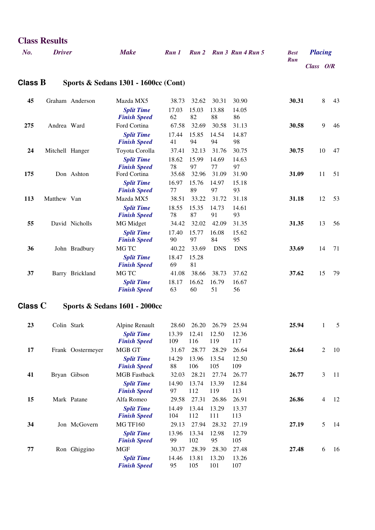| <b>Class Results</b> |               |      |  |  |                               |                    |                |  |  |  |  |
|----------------------|---------------|------|--|--|-------------------------------|--------------------|----------------|--|--|--|--|
| No.                  | <b>Driver</b> | Make |  |  | Run 1 Run 2 Run 3 Run 4 Run 5 | <b>Best</b><br>Run | <b>Placing</b> |  |  |  |  |
|                      |               |      |  |  |                               |                    | Class $O/R$    |  |  |  |  |

#### **Class B Sports & Sedans 1301 - 1600cc (Cont)**

| 45  |                 | Graham Anderson | Mazda MX5                                                | 38.73                | 32.62                | 30.31                | 30.90                | 30.31 | 8  | 43 |
|-----|-----------------|-----------------|----------------------------------------------------------|----------------------|----------------------|----------------------|----------------------|-------|----|----|
|     |                 |                 | <b>Split Time</b><br><b>Finish Speed</b>                 | 17.03<br>62          | 15.03<br>82          | 13.88<br>88          | 14.05<br>86          |       |    |    |
| 275 | Andrea Ward     |                 | Ford Cortina                                             | 67.58                | 32.69                | 30.58                | 31.13                | 30.58 | 9  | 46 |
|     |                 |                 | <b>Split Time</b><br><b>Finish Speed</b>                 | 17.44<br>41          | 15.85<br>94          | 14.54<br>94          | 14.87<br>98          |       |    |    |
| 24  | Mitchell Hanger |                 | Toyota Corolla                                           | 37.41                | 32.13                | 31.76                | 30.75                | 30.75 | 10 | 47 |
| 175 |                 | Don Ashton      | <b>Split Time</b><br><b>Finish Speed</b><br>Ford Cortina | 18.62<br>78<br>35.68 | 15.99<br>97<br>32.96 | 14.69<br>77<br>31.09 | 14.63<br>97<br>31.90 | 31.09 | 11 | 51 |
|     |                 |                 | <b>Split Time</b><br><b>Finish Speed</b>                 | 16.97<br>77          | 15.76<br>89          | 14.97<br>97          | 15.18<br>93          |       |    |    |
| 113 | Matthew Van     |                 | Mazda MX5                                                | 38.51                | 33.22                | 31.72                | 31.18                | 31.18 | 12 | 53 |
|     |                 |                 | <b>Split Time</b><br><b>Finish Speed</b>                 | 18.55<br>78          | 15.35<br>87          | 14.73<br>91          | 14.61<br>93          |       |    |    |
| 55  |                 | David Nicholls  | MG Midget                                                | 34.42                | 32.02                | 42.09                | 31.35                | 31.35 | 13 | 56 |
|     |                 |                 | <b>Split Time</b><br><b>Finish Speed</b>                 | 17.40<br>90          | 15.77<br>97          | 16.08<br>84          | 15.62<br>95          |       |    |    |
| 36  |                 | John Bradbury   | MG TC                                                    | 40.22                | 33.69                | <b>DNS</b>           | <b>DNS</b>           | 33.69 | 14 | 71 |
|     |                 |                 | <b>Split Time</b><br><b>Finish Speed</b>                 | 18.47<br>69          | 15.28<br>81          |                      |                      |       |    |    |
| 37  |                 | Barry Brickland | MG TC                                                    | 41.08                | 38.66                | 38.73                | 37.62                | 37.62 | 15 | 79 |
|     |                 |                 | <b>Split Time</b><br><b>Finish Speed</b>                 | 18.17<br>63          | 16.62<br>60          | 16.79<br>51          | 16.67<br>56          |       |    |    |

#### **Class C Sports & Sedans 1601 - 2000cc**

| 23 | Colin Stark       | Alpine Renault                           | 28.60        | 26.20        | 26.79        | 25.94        | 25.94 | 1              | 5  |
|----|-------------------|------------------------------------------|--------------|--------------|--------------|--------------|-------|----------------|----|
|    |                   | <b>Split Time</b><br><b>Finish Speed</b> | 13.39<br>109 | 12.41<br>116 | 12.50<br>119 | 12.36<br>117 |       |                |    |
| 17 | Frank Oostermeyer | <b>MGB GT</b>                            | 31.67        | 28.77        | 28.29        | 26.64        | 26.64 | $\overline{c}$ | 10 |
|    |                   | <b>Split Time</b><br><b>Finish Speed</b> | 14.29<br>88  | 13.96<br>106 | 13.54<br>105 | 12.50<br>109 |       |                |    |
| 41 | Bryan Gibson      | <b>MGB</b> Fastback                      | 32.03        | 28.21        | 27.74        | 26.77        | 26.77 | 3              | 11 |
|    |                   | <b>Split Time</b><br><b>Finish Speed</b> | 14.90<br>97  | 13.74<br>112 | 13.39<br>119 | 12.84<br>113 |       |                |    |
| 15 | Mark Patane       | Alfa Romeo                               | 29.58        | 27.31        | 26.86        | 26.91        | 26.86 | $\overline{4}$ | 12 |
|    |                   | <b>Split Time</b><br><b>Finish Speed</b> | 14.49<br>104 | 13.44<br>112 | 13.29<br>111 | 13.37<br>113 |       |                |    |
| 34 | Jon McGovern      | <b>MG TF160</b>                          | 29.13        | 27.94        | 28.32        | 27.19        | 27.19 | 5              | 14 |
|    |                   | <b>Split Time</b><br><b>Finish Speed</b> | 13.96<br>99  | 13.34<br>102 | 12.98<br>95  | 12.79<br>105 |       |                |    |
| 77 | Ron Ghiggino      | <b>MGF</b>                               | 30.37        | 28.39        | 28.30        | 27.48        | 27.48 | 6              | 16 |
|    |                   | <b>Split Time</b><br><b>Finish Speed</b> | 14.46<br>95  | 13.81<br>105 | 13.20<br>101 | 13.26<br>107 |       |                |    |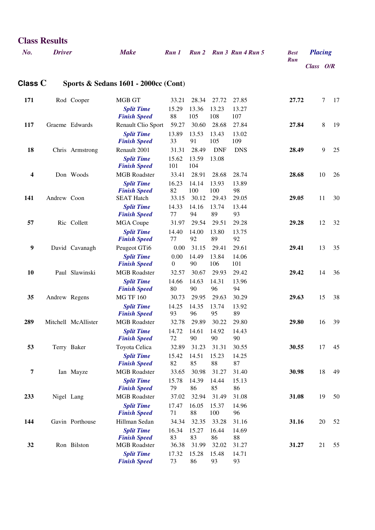|                  |               |                     |                                                 |                  |              |              |              | Run   | Class O/R |    |
|------------------|---------------|---------------------|-------------------------------------------------|------------------|--------------|--------------|--------------|-------|-----------|----|
| Class $C$        |               |                     | <b>Sports &amp; Sedans 1601 - 2000cc (Cont)</b> |                  |              |              |              |       |           |    |
| 171              |               | Rod Cooper          | MGB GT                                          | 33.21            | 28.34        | 27.72        | 27.85        | 27.72 | 7         | 17 |
|                  |               |                     | <b>Split Time</b><br><b>Finish Speed</b>        | 15.29<br>88      | 13.36<br>105 | 13.23<br>108 | 13.27<br>107 |       |           |    |
| 117              |               | Graeme Edwards      | Renault Clio Sport                              | 59.27            | 30.60        | 28.68        | 27.84        | 27.84 | 8         | 19 |
|                  |               |                     | <b>Split Time</b><br><b>Finish Speed</b>        | 13.89<br>33      | 13.53<br>91  | 13.43<br>105 | 13.02<br>109 |       |           |    |
| 18               |               | Chris Armstrong     | Renault 2001                                    | 31.31            | 28.49        | <b>DNF</b>   | <b>DNS</b>   | 28.49 | 9         | 25 |
|                  |               |                     | <b>Split Time</b><br><b>Finish Speed</b>        | 15.62<br>101     | 13.59<br>104 | 13.08        |              |       |           |    |
| 4                |               | Don Woods           | <b>MGB</b> Roadster                             | 33.41            | 28.91        | 28.68        | 28.74        | 28.68 | 10        | 26 |
|                  |               |                     | <b>Split Time</b>                               | 16.23            | 14.14        | 13.93        | 13.89        |       |           |    |
| 141              | Andrew Coon   |                     | <b>Finish Speed</b><br><b>SEAT Hatch</b>        | 82<br>33.15      | 100<br>30.12 | 100<br>29.43 | 98<br>29.05  | 29.05 | 11        | 30 |
|                  |               |                     | <b>Split Time</b>                               | 14.33            | 14.16        | 13.74        | 13.44        |       |           |    |
|                  |               |                     | <b>Finish Speed</b>                             | 77               | 94           | 89           | 93           |       |           |    |
| 57               |               | Ric Collett         | <b>MGA</b> Coupe                                | 31.97            | 29.54        | 29.51        | 29.28        | 29.28 | 12        | 32 |
|                  |               |                     | <b>Split Time</b><br><b>Finish Speed</b>        | 14.40<br>77      | 14.00<br>92  | 13.80<br>89  | 13.75<br>92  |       |           |    |
| $\boldsymbol{9}$ |               | David Cavanagh      | Peugeot GTi6                                    | 0.00             | 31.15        | 29.41        | 29.61        | 29.41 | 13        | 35 |
|                  |               |                     | <b>Split Time</b>                               | 0.00             | 14.49        | 13.84        | 14.06        |       |           |    |
|                  |               |                     | <b>Finish Speed</b>                             | $\boldsymbol{0}$ | 90           | 106          | 101          |       |           |    |
| 10               |               | Paul Slawinski      | <b>MGB</b> Roadster                             | 32.57            | 30.67        | 29.93        | 29.42        | 29.42 | 14        | 36 |
|                  |               |                     | <b>Split Time</b><br><b>Finish Speed</b>        | 14.66<br>80      | 14.63<br>90  | 14.31<br>96  | 13.96<br>94  |       |           |    |
| 35               | Andrew Regens |                     | <b>MG TF 160</b>                                | 30.73            | 29.95        | 29.63        | 30.29        | 29.63 | 15        | 38 |
|                  |               |                     | <b>Split Time</b>                               | 14.25            | 14.35        | 13.74        | 13.92        |       |           |    |
|                  |               |                     | <b>Finish Speed</b>                             | 93               | 96           | 95           | 89           |       |           |    |
| 289              |               | Mitchell McAllister | <b>MGB</b> Roadster                             | 32.78            | 29.89        | 30.22        | 29.80        | 29.80 | 16        | 39 |
|                  |               |                     | <b>Split Time</b><br><b>Finish Speed</b>        | 14.72<br>72      | 14.61<br>90  | 14.92<br>90  | 14.43<br>90  |       |           |    |
| 53               |               | Terry Baker         | Toyota Celica                                   | 32.89            | 31.23        | 31.31        | 30.55        | 30.55 | 17        | 45 |
|                  |               |                     | <b>Split Time</b><br><b>Finish Speed</b>        | 15.42<br>82      | 14.51<br>85  | 15.23<br>88  | 14.25<br>87  |       |           |    |
| 7                |               | Ian Mayze           | <b>MGB</b> Roadster                             | 33.65            | 30.98        | 31.27        | 31.40        | 30.98 | 18        | 49 |
|                  |               |                     | <b>Split Time</b><br><b>Finish Speed</b>        | 15.78<br>79      | 14.39<br>86  | 14.44<br>85  | 15.13<br>86  |       |           |    |
| 233              | Nigel Lang    |                     | <b>MGB</b> Roadster                             | 37.02            | 32.94        | 31.49        | 31.08        | 31.08 | 19        | 50 |
|                  |               |                     | <b>Split Time</b>                               | 17.47            | 16.05        | 15.37        | 14.96        |       |           |    |
|                  |               |                     | <b>Finish Speed</b>                             | 71               | 88           | 100          | 96           |       |           |    |
| 144              |               | Gavin Porthouse     | Hillman Sedan                                   | 34.34            | 32.35        | 33.28        | 31.16        | 31.16 | 20        | 52 |
|                  |               |                     | <b>Split Time</b><br><b>Finish Speed</b>        | 16.34<br>83      | 15.27<br>83  | 16.44<br>86  | 14.69<br>88  |       |           |    |
| 32               |               | Ron Bilston         | <b>MGB</b> Roadster                             | 36.38            | 31.99        | 32.02        | 31.27        | 31.27 | 21        | 55 |
|                  |               |                     | <b>Split Time</b><br><b>Finish Speed</b>        | 17.32<br>73      | 15.28<br>86  | 15.48<br>93  | 14.71<br>93  |       |           |    |

*No. Driver Make Run 1 Run 2 Run 3 Run 4 Run 5 Best Placing*

**Class Results**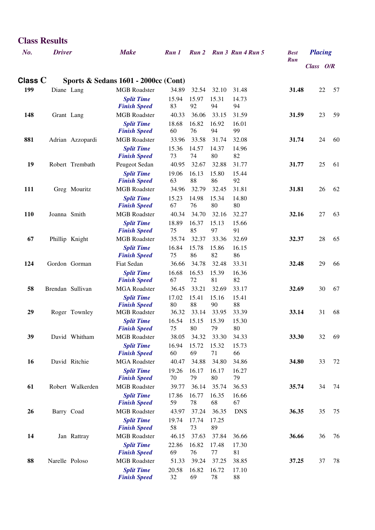| <b>Class Results</b> |                |                  |                                                 |                |                |                |                         |                    |                |    |
|----------------------|----------------|------------------|-------------------------------------------------|----------------|----------------|----------------|-------------------------|--------------------|----------------|----|
| No.                  | <b>Driver</b>  |                  | <b>Make</b>                                     | Run 1          |                |                | Run 2 Run 3 Run 4 Run 5 | <b>Best</b><br>Run | <b>Placing</b> |    |
|                      |                |                  |                                                 |                |                |                |                         |                    | Class O/R      |    |
| Class C              |                |                  | <b>Sports &amp; Sedans 1601 - 2000cc (Cont)</b> |                |                |                |                         |                    |                |    |
| 199                  | Diane Lang     |                  | <b>MGB</b> Roadster                             | 34.89          | 32.54          | 32.10          | 31.48                   | 31.48              | 22             | 57 |
|                      |                |                  | <b>Split Time</b>                               | 15.94          | 15.97          | 15.31          | 14.73                   |                    |                |    |
| 148                  |                | Grant Lang       | <b>Finish Speed</b><br><b>MGB</b> Roadster      | 83<br>40.33    | 92<br>36.06    | 94<br>33.15    | 94<br>31.59             | 31.59              | 23             | 59 |
|                      |                |                  | <b>Split Time</b>                               | 18.68          | 16.82          | 16.92          | 16.01                   |                    |                |    |
|                      |                |                  | <b>Finish Speed</b>                             | 60             | 76             | 94             | 99                      |                    |                |    |
| 881                  |                | Adrian Azzopardi | <b>MGB</b> Roadster                             | 33.96          | 33.58          | 31.74          | 32.08                   | 31.74              | 24             | 60 |
|                      |                |                  | <b>Split Time</b>                               | 15.36<br>73    | 14.57<br>74    | 14.37<br>80    | 14.96<br>82             |                    |                |    |
| 19                   |                | Robert Trembath  | <b>Finish Speed</b><br>Peugeot Sedan            | 40.95          | 32.67          | 32.88          | 31.77                   | 31.77              | 25             | 61 |
|                      |                |                  | <b>Split Time</b>                               | 19.06          | 16.13          | 15.80          | 15.44                   |                    |                |    |
|                      |                |                  | <b>Finish Speed</b>                             | 63             | 88             | 86             | 92                      |                    |                |    |
| 111                  |                | Greg Mouritz     | <b>MGB</b> Roadster                             | 34.96          | 32.79          | 32.45          | 31.81                   | 31.81              | 26             | 62 |
|                      |                |                  | <b>Split Time</b><br><b>Finish Speed</b>        | 15.23<br>67    | 14.98<br>76    | 15.34<br>80    | 14.80<br>80             |                    |                |    |
| <b>110</b>           | Joanna Smith   |                  | <b>MGB</b> Roadster                             | 40.34          | 34.70          | 32.16          | 32.27                   | 32.16              | 27             | 63 |
|                      |                |                  | <b>Split Time</b>                               | 18.89          | 16.37          | 15.13          | 15.66                   |                    |                |    |
|                      |                |                  | <b>Finish Speed</b>                             | 75             | 85             | 97             | 91                      |                    |                |    |
| 67                   |                | Phillip Knight   | <b>MGB</b> Roadster                             | 35.74          | 32.37          | 33.36          | 32.69                   | 32.37              | 28             | 65 |
|                      |                |                  | <b>Split Time</b><br><b>Finish Speed</b>        | 16.84<br>75    | 15.78<br>86    | 15.86<br>82    | 16.15<br>86             |                    |                |    |
| 124                  |                | Gordon Gorman    | Fiat Sedan                                      | 36.66          | 34.78          | 32.48          | 33.31                   | 32.48              | 29             | 66 |
|                      |                |                  | <b>Split Time</b>                               | 16.68          | 16.53          | 15.39          | 16.36                   |                    |                |    |
|                      |                |                  | <b>Finish Speed</b>                             | 67             | 72             | 81             | 82                      |                    |                |    |
| 58                   |                | Brendan Sullivan | <b>MGA</b> Roadster<br><b>Split Time</b>        | 36.45<br>17.02 | 33.21<br>15.41 | 32.69<br>15.16 | 33.17<br>15.41          | 32.69              | 30             | 67 |
|                      |                |                  | <b>Finish Speed</b>                             | 80             | 88             | 90             | 88                      |                    |                |    |
| 29                   |                | Roger Townley    | <b>MGB</b> Roadster                             | 36.32          | 33.14          | 33.95          | 33.39                   | 33.14              | 31             | 68 |
|                      |                |                  | <b>Split Time</b><br><b>Finish Speed</b>        | 16.54<br>75    | 15.15<br>80    | 15.39<br>79    | 15.30<br>80             |                    |                |    |
| 39                   |                | David Whitham    | <b>MGB</b> Roadster                             | 38.05          | 34.32          | 33.30          | 34.33                   | 33.30              | 32             | 69 |
|                      |                |                  | <b>Split Time</b>                               | 16.94          | 15.72          | 15.32          | 15.73                   |                    |                |    |
|                      |                |                  | <b>Finish Speed</b>                             | 60             | 69             | 71             | 66                      |                    |                |    |
| 16                   |                | David Ritchie    | <b>MGA</b> Roadster                             | 40.47          | 34.88          | 34.80          | 34.86                   | 34.80              | 33             | 72 |
|                      |                |                  | <b>Split Time</b><br><b>Finish Speed</b>        | 19.26<br>70    | 16.17<br>79    | 16.17<br>80    | 16.27<br>79             |                    |                |    |
| 61                   |                | Robert Walkerden | <b>MGB</b> Roadster                             | 39.77          | 36.14          | 35.74          | 36.53                   | 35.74              | 34             | 74 |
|                      |                |                  | <b>Split Time</b>                               | 17.86          | 16.77          | 16.35          | 16.66                   |                    |                |    |
|                      |                |                  | <b>Finish Speed</b>                             | 59             | 78             | 68             | 67                      |                    |                |    |
| 26                   |                | Barry Coad       | <b>MGB</b> Roadster                             | 43.97          | 37.24          | 36.35          | <b>DNS</b>              | 36.35              | 35             | 75 |
|                      |                |                  | <b>Split Time</b><br><b>Finish Speed</b>        | 19.74<br>58    | 17.74<br>73    | 17.25<br>89    |                         |                    |                |    |
| 14                   |                | Jan Rattray      | <b>MGB</b> Roadster                             | 46.15          | 37.63          | 37.84          | 36.66                   | 36.66              | 36             | 76 |
|                      |                |                  | <b>Split Time</b>                               | 22.86          | 16.82          | 17.48          | 17.30                   |                    |                |    |
|                      |                |                  | <b>Finish Speed</b>                             | 69             | 76             | $77 \,$        | 81                      |                    |                |    |
| 88                   | Narelle Poloso |                  | <b>MGB</b> Roadster<br><b>Split Time</b>        | 51.33<br>20.58 | 39.24<br>16.82 | 37.25<br>16.72 | 38.85<br>17.10          | 37.25              | 37             | 78 |
|                      |                |                  | <b>Finish Speed</b>                             | 32             | 69             | 78             | 88                      |                    |                |    |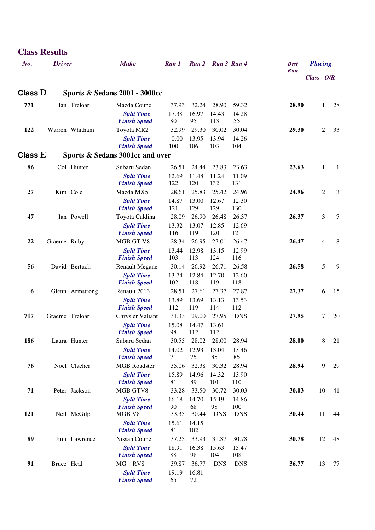|           | <b>Class Results</b> |                 |                                          |                |                |                   |                |             |                |    |    |
|-----------|----------------------|-----------------|------------------------------------------|----------------|----------------|-------------------|----------------|-------------|----------------|----|----|
| No.       | <b>Driver</b>        |                 | <b>Make</b>                              | Run 1          |                | Run 2 Run 3 Run 4 |                | <b>Best</b> | <b>Placing</b> |    |    |
|           |                      |                 |                                          |                |                |                   |                | <b>Run</b>  | Class O/R      |    |    |
| Class $D$ |                      |                 | Sports & Sedans 2001 - 3000cc            |                |                |                   |                |             |                |    |    |
| 771       |                      | Ian Treloar     | Mazda Coupe                              | 37.93          | 32.24          | 28.90             | 59.32          | 28.90       |                | 1  | 28 |
|           |                      |                 | <b>Split Time</b>                        | 17.38          | 16.97          | 14.43             | 14.28          |             |                |    |    |
|           |                      |                 | <b>Finish Speed</b>                      | 80             | 95             | 113               | 55             |             |                |    |    |
| 122       |                      | Warren Whitham  | Toyota MR2                               | 32.99          | 29.30          | 30.02             | 30.04          | 29.30       |                | 2  | 33 |
|           |                      |                 | <b>Split Time</b><br><b>Finish Speed</b> | 0.00<br>100    | 13.95<br>106   | 13.94<br>103      | 14.26<br>104   |             |                |    |    |
| Class $E$ |                      |                 | Sports & Sedans 3001cc and over          |                |                |                   |                |             |                |    |    |
| 86        |                      | Col Hunter      | Subaru Sedan                             | 26.51          | 24.44          | 23.83             | 23.63          | 23.63       |                | 1  | 1  |
|           |                      |                 | <b>Split Time</b>                        | 12.69          | 11.48          | 11.24             | 11.09          |             |                |    |    |
|           |                      |                 | <b>Finish Speed</b>                      | 122            | 120            | 132               | 131            |             |                |    |    |
| 27        |                      | Kim Cole        | Mazda MX5                                | 28.61          | 25.83          | 25.42             | 24.96          | 24.96       |                | 2  | 3  |
|           |                      |                 | <b>Split Time</b><br><b>Finish Speed</b> | 14.87<br>121   | 13.00<br>129   | 12.67<br>129      | 12.30<br>130   |             |                |    |    |
| 47        |                      | Ian Powell      | Toyota Caldina                           | 28.09          | 26.90          | 26.48             | 26.37          | 26.37       |                | 3  | 7  |
|           |                      |                 | <b>Split Time</b>                        | 13.32          | 13.07          | 12.85             | 12.69          |             |                |    |    |
|           |                      |                 | <b>Finish Speed</b>                      | 116            | 119            | 120               | 121            |             |                |    |    |
| 22        | Graeme Ruby          |                 | MGB GT V8                                | 28.34          | 26.95          | 27.01             | 26.47          | 26.47       |                | 4  | 8  |
|           |                      |                 | <b>Split Time</b><br><b>Finish Speed</b> | 13.44<br>103   | 12.98<br>113   | 13.15<br>124      | 12.99<br>116   |             |                |    |    |
| 56        |                      | David Bertuch   | <b>Renault Megane</b>                    | 30.14          | 26.92          | 26.71             | 26.58          | 26.58       |                | 5  | 9  |
|           |                      |                 | <b>Split Time</b>                        | 13.74          | 12.84          | 12.70             | 12.60          |             |                |    |    |
|           |                      |                 | <b>Finish Speed</b>                      | 102            | 118            | 119               | 118            |             |                |    |    |
| 6         |                      | Glenn Armstrong | Renault 2013                             | 28.51          | 27.61          | 27.37             | 27.87          | 27.37       |                | 6  | 15 |
|           |                      |                 | <b>Split Time</b><br><b>Finish Speed</b> | 13.89<br>112   | 13.69<br>119   | 13.13<br>114      | 13.53<br>112   |             |                |    |    |
| 717       | Graeme Treloar       |                 | Chrysler Valiant                         | 31.33          | 29.00          | 27.95             | <b>DNS</b>     | 27.95       |                | 7  | 20 |
|           |                      |                 | <b>Split Time</b>                        | 15.08          | 14.47          | 13.61             |                |             |                |    |    |
|           |                      |                 | <b>Finish Speed</b>                      | 98             | 112            | 112               |                |             |                |    |    |
| 186       |                      | Laura Hunter    | Subaru Sedan<br><b>Split Time</b>        | 30.55<br>14.02 | 28.02<br>12.93 | 28.00<br>13.04    | 28.94<br>13.46 | 28.00       |                | 8  | 21 |
|           |                      |                 | <b>Finish Speed</b>                      | 71             | 75             | 85                | 85             |             |                |    |    |
| 76        |                      | Noel Clacher    | <b>MGB</b> Roadster                      | 35.06          | 32.38          | 30.32             | 28.94          | 28.94       |                | 9  | 29 |
|           |                      |                 | <b>Split Time</b>                        | 15.89          | 14.96          | 14.32             | 13.90          |             |                |    |    |
|           |                      |                 | <b>Finish Speed</b>                      | 81             | 89             | 101               | 110            |             |                |    |    |
| 71        |                      | Peter Jackson   | MGB GTV8<br><b>Split Time</b>            | 33.28<br>16.18 | 33.50<br>14.70 | 30.72<br>15.19    | 30.03<br>14.86 | 30.03       |                | 10 | 41 |
|           |                      |                 | <b>Finish Speed</b>                      | 90             | 68             | 98                | 100            |             |                |    |    |
| 121       |                      | Neil McGilp     | MGB V8                                   | 33.35          | 30.44          | <b>DNS</b>        | <b>DNS</b>     | 30.44       |                | 11 | 44 |
|           |                      |                 | <b>Split Time</b>                        | 15.61          | 14.15          |                   |                |             |                |    |    |
| 89        |                      | Jimi Lawrence   | <b>Finish Speed</b><br>Nissan Coupe      | 81<br>37.25    | 102<br>33.93   | 31.87             | 30.78          | 30.78       |                | 12 | 48 |
|           |                      |                 | <b>Split Time</b>                        | 18.91          | 16.38          | 15.63             | 15.47          |             |                |    |    |
|           |                      |                 | <b>Finish Speed</b>                      | 88             | 98             | 104               | 108            |             |                |    |    |
| 91        | Bruce Heal           |                 | MG RV8                                   | 39.87          | 36.77          | <b>DNS</b>        | <b>DNS</b>     | 36.77       |                | 13 | 77 |
|           |                      |                 | <b>Split Time</b>                        | 19.19          | 16.81          |                   |                |             |                |    |    |
|           |                      |                 | <b>Finish Speed</b>                      | 65             | 72             |                   |                |             |                |    |    |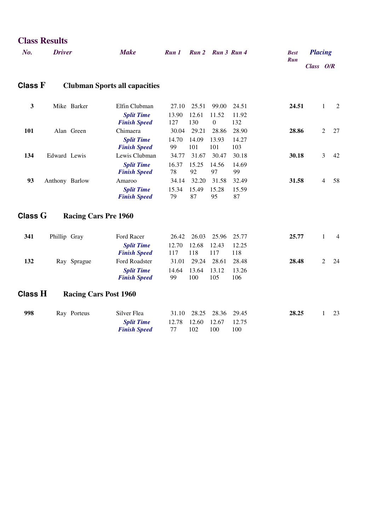|                | <b>Class Results</b> |                             |                                                           |                           |                       |                                    |                       |             |                |                |                |
|----------------|----------------------|-----------------------------|-----------------------------------------------------------|---------------------------|-----------------------|------------------------------------|-----------------------|-------------|----------------|----------------|----------------|
| No.            | <b>Driver</b>        |                             | <b>Make</b>                                               | Run 1                     |                       | Run 2 Run 3 Run 4                  |                       | <b>Best</b> | <b>Placing</b> |                |                |
|                |                      |                             |                                                           |                           |                       |                                    |                       | <b>Run</b>  | Class O/R      |                |                |
| Class $F$      |                      |                             | <b>Clubman Sports all capacities</b>                      |                           |                       |                                    |                       |             |                |                |                |
| $\mathbf{3}$   |                      | Mike Barker                 | Elfin Clubman<br><b>Split Time</b><br><b>Finish Speed</b> | 27.10<br>13.90<br>127     | 25.51<br>12.61<br>130 | 99.00<br>11.52<br>$\boldsymbol{0}$ | 24.51<br>11.92<br>132 | 24.51       |                | $\mathbf{1}$   | $\overline{c}$ |
| 101            |                      | Alan Green                  | Chimaera<br><b>Split Time</b><br><b>Finish Speed</b>      | 30.04<br>14.70<br>99      | 29.21<br>14.09<br>101 | 28.86<br>13.93<br>101              | 28.90<br>14.27<br>103 | 28.86       |                | 2              | 27             |
| 134            | Edward Lewis         |                             | Lewis Clubman<br><b>Split Time</b><br><b>Finish Speed</b> | 34.77<br>16.37<br>78      | 31.67<br>15.25<br>92  | 30.47<br>14.56<br>97               | 30.18<br>14.69<br>99  | 30.18       |                | 3              | 42             |
| 93             | Anthony Barlow       |                             | Amaroo<br><b>Split Time</b><br><b>Finish Speed</b>        | 34.14<br>15.34<br>79      | 32.20<br>15.49<br>87  | 31.58<br>15.28<br>95               | 32.49<br>15.59<br>87  | 31.58       |                | $\overline{4}$ | 58             |
| Class $G$      |                      | <b>Racing Cars Pre 1960</b> |                                                           |                           |                       |                                    |                       |             |                |                |                |
| 341            | Phillip Gray         |                             | Ford Racer<br><b>Split Time</b><br><b>Finish Speed</b>    | 26.42<br>12.70<br>117     | 26.03<br>12.68<br>118 | 25.96<br>12.43<br>117              | 25.77<br>12.25<br>118 | 25.77       |                | 1              | 4              |
| 132            |                      | Ray Sprague                 | Ford Roadster<br><b>Split Time</b><br><b>Finish Speed</b> | 31.01<br>14.64<br>99      | 29.24<br>13.64<br>100 | 28.61<br>13.12<br>105              | 28.48<br>13.26<br>106 | 28.48       |                | 2              | 24             |
| <b>Class H</b> |                      |                             | <b>Racing Cars Post 1960</b>                              |                           |                       |                                    |                       |             |                |                |                |
| 998            |                      | Ray Porteus                 | Silver Flea<br><b>Split Time</b><br><b>Finish Speed</b>   | 31.10<br>12.78<br>$77 \,$ | 28.25<br>12.60<br>102 | 28.36<br>12.67<br>100              | 29.45<br>12.75<br>100 | 28.25       |                | 1              | 23             |